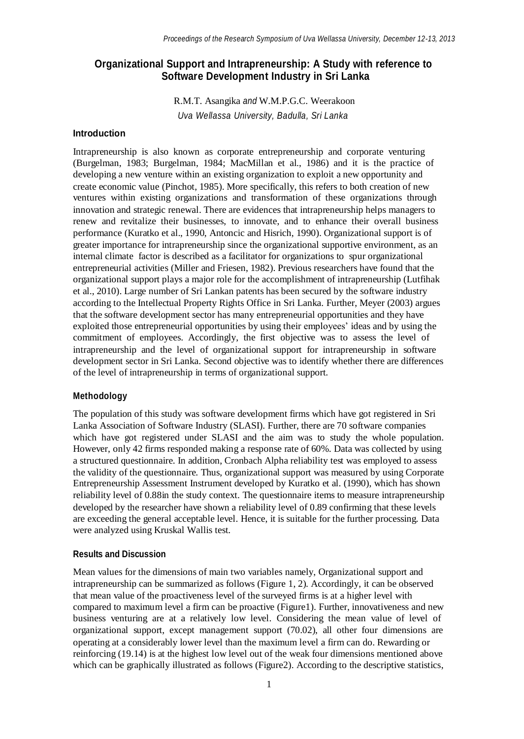# **Organizational Support and Intrapreneurship: A Study with reference to Software Development Industry in Sri Lanka**

R.M.T. Asangika *and* W.M.P.G.C. Weerakoon *Uva Wellassa University, Badulla, Sri Lanka*

### **Introduction**

Intrapreneurship is also known as corporate entrepreneurship and corporate venturing (Burgelman, 1983; Burgelman, 1984; MacMillan et al., 1986) and it is the practice of developing a new venture within an existing organization to exploit a new opportunity and create economic value (Pinchot, 1985). More specifically, this refers to both creation of new ventures within existing organizations and transformation of these organizations through innovation and strategic renewal. There are evidences that intrapreneurship helps managers to renew and revitalize their businesses, to innovate, and to enhance their overall business performance (Kuratko et al., 1990, Antoncic and Hisrich, 1990). Organizational support is of greater importance for intrapreneurship since the organizational supportive environment, as an internal climate factor is described as a facilitator for organizations to spur organizational entrepreneurial activities (Miller and Friesen, 1982). Previous researchers have found that the organizational support plays a major role for the accomplishment of intrapreneurship (Lutfihak et al., 2010). Large number of Sri Lankan patents has been secured by the software industry according to the Intellectual Property Rights Office in Sri Lanka. Further, Meyer (2003) argues that the software development sector has many entrepreneurial opportunities and they have exploited those entrepreneurial opportunities by using their employees' ideas and by using the commitment of employees. Accordingly, the first objective was to assess the level of intrapreneurship and the level of organizational support for intrapreneurship in software development sector in Sri Lanka. Second objective was to identify whether there are differences of the level of intrapreneurship in terms of organizational support.

### **Methodology**

The population of this study was software development firms which have got registered in Sri Lanka Association of Software Industry (SLASI). Further, there are 70 software companies which have got registered under SLASI and the aim was to study the whole population. However, only 42 firms responded making a response rate of 60%. Data was collected by using a structured questionnaire. In addition, Cronbach Alpha reliability test was employed to assess the validity of the questionnaire. Thus, organizational support was measured by using Corporate Entrepreneurship Assessment Instrument developed by Kuratko et al. (1990), which has shown reliability level of 0.88in the study context. The questionnaire items to measure intrapreneurship developed by the researcher have shown a reliability level of 0.89 confirming that these levels are exceeding the general acceptable level. Hence, it is suitable for the further processing. Data were analyzed using Kruskal Wallis test.

### **Results and Discussion**

Mean values for the dimensions of main two variables namely, Organizational support and intrapreneurship can be summarized as follows (Figure 1, 2). Accordingly, it can be observed that mean value of the proactiveness level of the surveyed firms is at a higher level with compared to maximum level a firm can be proactive (Figure1). Further, innovativeness and new business venturing are at a relatively low level. Considering the mean value of level of organizational support, except management support (70.02), all other four dimensions are operating at a considerably lower level than the maximum level a firm can do. Rewarding or reinforcing (19.14) is at the highest low level out of the weak four dimensions mentioned above which can be graphically illustrated as follows (Figure2). According to the descriptive statistics,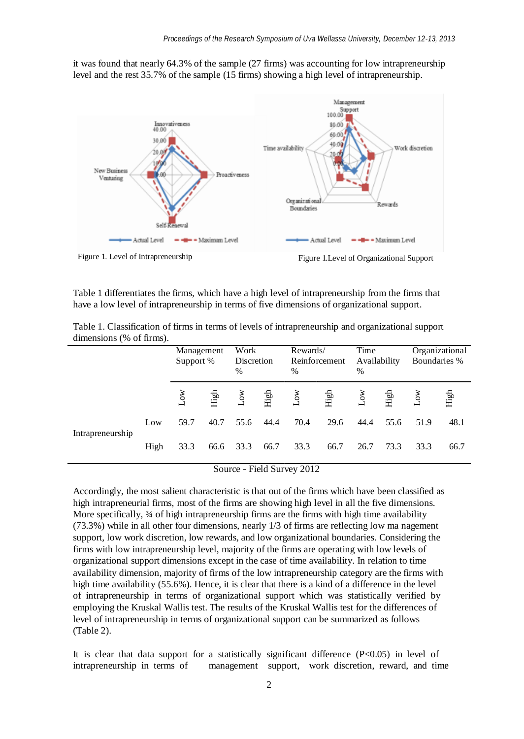it was found that nearly 64.3% of the sample (27 firms) was accounting for low intrapreneurship level and the rest 35.7% of the sample (15 firms) showing a high level of intrapreneurship.



Figure 1. Level of Intrapreneurship Figure 1. Level of Organizational Support

Table 1 differentiates the firms, which have a high level of intrapreneurship from the firms that have a low level of intrapreneurship in terms of five dimensions of organizational support.

|                  |      | Management<br>Support % |      | Work<br>Discretion<br>$\frac{0}{0}$ |      | Rewards/<br>Reinforcement<br>$\frac{0}{0}$ |      | Time<br>Availability<br>$\frac{0}{0}$ |      | Organizational<br>Boundaries % |      |
|------------------|------|-------------------------|------|-------------------------------------|------|--------------------------------------------|------|---------------------------------------|------|--------------------------------|------|
|                  |      | χÓ                      | High | χÓ                                  | High | ŠΥ                                         | High | δŃ                                    | High | $\sum_{i=1}^{\infty}$          | High |
| Intrapreneurship | Low  | 59.7                    | 40.7 | 55.6                                | 44.4 | 70.4                                       | 29.6 | 44.4                                  | 55.6 | 51.9                           | 48.1 |
|                  | High | 33.3                    | 66.6 | 33.3                                | 66.7 | 33.3                                       | 66.7 | 26.7                                  | 73.3 | 33.3                           | 66.7 |

Table 1. Classification of firms in terms of levels of intrapreneurship and organizational support dimensions (% of firms).

Source - Field Survey 2012

Accordingly, the most salient characteristic is that out of the firms which have been classified as high intrapreneurial firms, most of the firms are showing high level in all the five dimensions. More specifically,  $\frac{3}{4}$  of high intrapreneurship firms are the firms with high time availability (73.3%) while in all other four dimensions, nearly 1/3 of firms are reflecting low ma nagement support, low work discretion, low rewards, and low organizational boundaries. Considering the firms with low intrapreneurship level, majority of the firms are operating with low levels of organizational support dimensions except in the case of time availability. In relation to time availability dimension, majority of firms of the low intrapreneurship category are the firms with high time availability (55.6%). Hence, it is clear that there is a kind of a difference in the level of intrapreneurship in terms of organizational support which was statistically verified by employing the Kruskal Wallis test. The results of the Kruskal Wallis test for the differences of level of intrapreneurship in terms of organizational support can be summarized as follows (Table 2).

It is clear that data support for a statistically significant difference  $(P<0.05)$  in level of intrapreneurship in terms of management support, work discretion, reward, and time